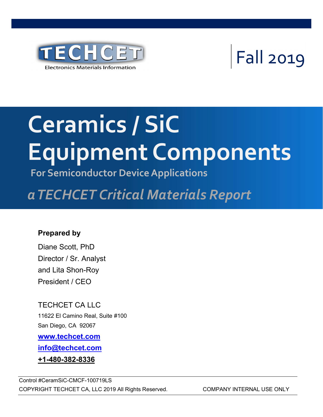

## Fall 2019

# Equipment Components Ceramics / SiC

For Semiconductor Device Applications

## Advanced Insulation Dielectric Precursors a TECHCET Critical Materials Report

#### Prepared by

Diane Scott, PhD Director / Sr. Analyst and Lita Shon-Roy President / CEO

TECHCET CA LLC 11622 El Camino Real, Suite #100 San Diego, CA 92067 www.techcet.com

info@techcet.com

+1-480-382-8336

Control #CeramSiC-CMCF-100719LS COPYRIGHT TECHCET CA, LLC 2019 All Rights Reserved. COMPANY INTERNAL USE ONLY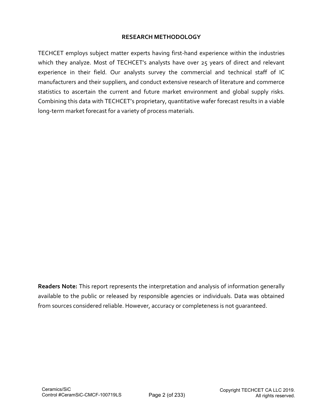#### RESEARCH METHODOLOGY

TECHCET employs subject matter experts having first-hand experience within the industries which they analyze. Most of TECHCET's analysts have over 25 years of direct and relevant experience in their field. Our analysts survey the commercial and technical staff of IC manufacturers and their suppliers, and conduct extensive research of literature and commerce statistics to ascertain the current and future market environment and global supply risks. Combining this data with TECHCET's proprietary, quantitative wafer forecast results in a viable long-term market forecast for a variety of process materials.

Readers Note: This report represents the interpretation and analysis of information generally available to the public or released by responsible agencies or individuals. Data was obtained from sources considered reliable. However, accuracy or completeness is not guaranteed.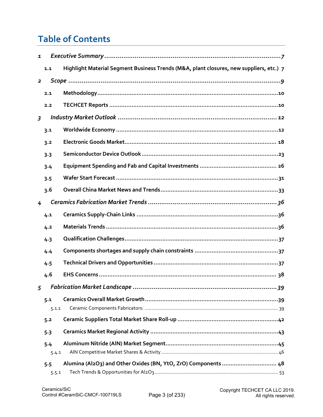### Table of Contents

| $\mathbf{1}$            |              |                                                                                         |
|-------------------------|--------------|-----------------------------------------------------------------------------------------|
|                         | 1.1          | Highlight Material Segment Business Trends (M&A, plant closures, new suppliers, etc.) 7 |
| $\overline{\mathbf{2}}$ |              |                                                                                         |
|                         | 2.1          |                                                                                         |
|                         | 2.2          |                                                                                         |
| $\overline{3}$          |              |                                                                                         |
|                         | 3.1          |                                                                                         |
|                         | 3.2          |                                                                                         |
|                         | 3.3          |                                                                                         |
|                         | 3.4          |                                                                                         |
|                         | 3.5          |                                                                                         |
|                         | 3.6          |                                                                                         |
| 4                       |              |                                                                                         |
|                         | 4.1          |                                                                                         |
|                         | 4.2          |                                                                                         |
|                         | 4.3          |                                                                                         |
|                         | 4.4          |                                                                                         |
|                         | 4.5          |                                                                                         |
|                         | 4.6          |                                                                                         |
|                         |              |                                                                                         |
|                         | 5.1          |                                                                                         |
|                         | 5.1.1        |                                                                                         |
|                         | 5.2          |                                                                                         |
|                         | 5.3          |                                                                                         |
|                         | 5.4          |                                                                                         |
|                         | 5.4.1<br>5.5 | Alumina (Al2O3) and Other Oxides (BN, YtO, ZrO) Components  48                          |
|                         | 5.5.1        |                                                                                         |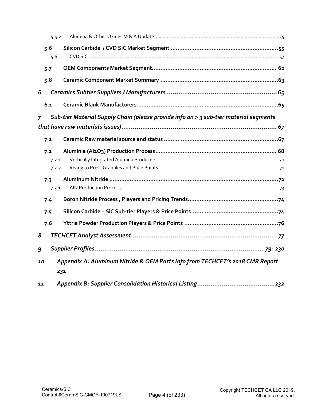| 5.5.2          |                                                                                       |  |  |  |  |  |
|----------------|---------------------------------------------------------------------------------------|--|--|--|--|--|
| 5.6            |                                                                                       |  |  |  |  |  |
| 5.6.1          |                                                                                       |  |  |  |  |  |
| 5.7            |                                                                                       |  |  |  |  |  |
| 5.8            |                                                                                       |  |  |  |  |  |
| 6              |                                                                                       |  |  |  |  |  |
| 6.1            |                                                                                       |  |  |  |  |  |
| $\overline{7}$ | Sub-tier Material Supply Chain (please provide info on > 3 sub-tier material segments |  |  |  |  |  |
|                |                                                                                       |  |  |  |  |  |
| 7.1            |                                                                                       |  |  |  |  |  |
| 7.2            |                                                                                       |  |  |  |  |  |
| 7.2.1          |                                                                                       |  |  |  |  |  |
| 7.2.2          |                                                                                       |  |  |  |  |  |
| 7.3            |                                                                                       |  |  |  |  |  |
| 7.3.1          |                                                                                       |  |  |  |  |  |
| 7.4            |                                                                                       |  |  |  |  |  |
| 7.5            |                                                                                       |  |  |  |  |  |
| 7.6            |                                                                                       |  |  |  |  |  |
| 8              |                                                                                       |  |  |  |  |  |
| 9              |                                                                                       |  |  |  |  |  |
| 10             | Appendix A: Aluminum Nitride & OEM Parts Info from TECHCET's 2018 CMR Report          |  |  |  |  |  |
|                | 231                                                                                   |  |  |  |  |  |
| 11             |                                                                                       |  |  |  |  |  |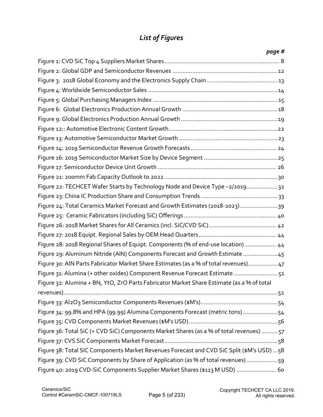#### List of Figures

| page #                                                                                     |
|--------------------------------------------------------------------------------------------|
|                                                                                            |
|                                                                                            |
|                                                                                            |
|                                                                                            |
|                                                                                            |
|                                                                                            |
|                                                                                            |
|                                                                                            |
|                                                                                            |
|                                                                                            |
|                                                                                            |
|                                                                                            |
|                                                                                            |
| Figure 22: TECHCET Wafer Starts by Technology Node and Device Type -2/201932               |
|                                                                                            |
| Figure 24: Total Ceramics Market Forecast and Growth Estimates (2018-2023)39               |
|                                                                                            |
|                                                                                            |
|                                                                                            |
| Figure 28: 2018 Regional Shares of Equipt. Components (% of end-use location)  44          |
| Figure 29: Aluminum Nitride (AlN) Components Forecast and Growth Estimate 45               |
| Figure 30: AIN Parts Fabricator Market Share Estimates (as a % of total revenues) 47       |
| Figure 31: Alumina (+ other oxides) Component Revenue Forecast Estimate51                  |
| Figure 32: Alumina + BN, YtO, ZrO Parts Fabricator Market Share Estimate (as a % of total  |
|                                                                                            |
|                                                                                            |
| Figure 34: 99.8% and HPA (99.99) Alumina Components Forecast (metric tons) 54              |
|                                                                                            |
| Figure 36: Total SiC (+ CVD SiC) Components Market Shares (as a % of total revenues)  57   |
|                                                                                            |
| Figure 38: Total SIC Components Market Revenues Forecast and CVD SiC Split (\$M's USD)  58 |
| Figure 39: CVD SiC Components by Share of Application (as % of total revenues) 59          |
| Figure 40: 2019 CVD-SiC Components Supplier Market Shares (\$113 M USD)  60                |